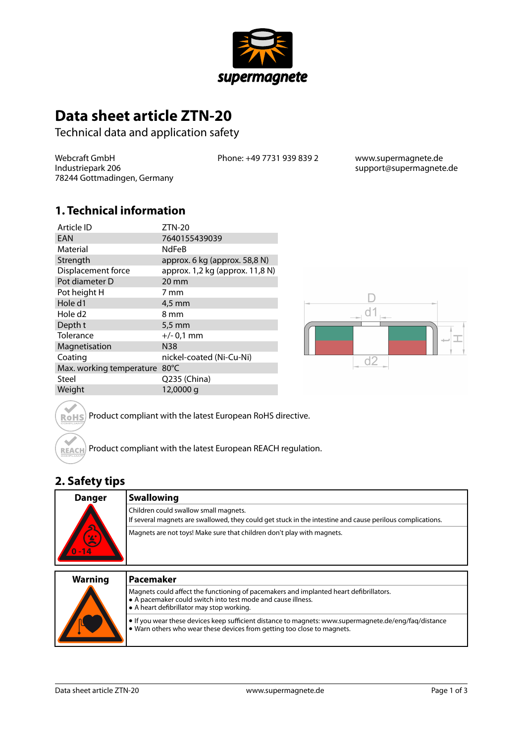

# **Data sheet article ZTN-20**

Technical data and application safety

Webcraft GmbH Industriepark 206 78244 Gottmadingen, Germany Phone: +49 7731 939 839 2 www.supermagnete.de

support@supermagnete.de

### **1. Technical information**

| Article ID               | $ZTN-20$                        |
|--------------------------|---------------------------------|
| EAN                      | 7640155439039                   |
| Material                 | <b>NdFeB</b>                    |
| Strength                 | approx. 6 kg (approx. 58,8 N)   |
| Displacement force       | approx. 1,2 kg (approx. 11,8 N) |
| Pot diameter D           | $20 \,\mathrm{mm}$              |
| Pot height H             | 7 mm                            |
| Hole d1                  | $4.5 \text{ mm}$                |
| Hole d <sub>2</sub>      | 8 mm                            |
| Depth t                  | $5.5 \text{ mm}$                |
| Tolerance                | $+/- 0.1$ mm                    |
| Magnetisation            | <b>N38</b>                      |
| Coating                  | nickel-coated (Ni-Cu-Ni)        |
| Max. working temperature | $80^{\circ}$ C                  |
| Steel                    | Q235 (China)                    |
| Weight                   | 12,0000 g                       |



Product compliant with the latest European RoHS directive. **RoHS** 

Product compliant with the latest European REACH regulation. REACH

### **2. Safety tips**

 $\sim$ 

| <b>Danger</b><br>$\overline{\mathbf{S}}$<br>ピ<br>$0 - 14$ | <b>Swallowing</b>                                                                                                                                  |
|-----------------------------------------------------------|----------------------------------------------------------------------------------------------------------------------------------------------------|
|                                                           | Children could swallow small magnets.<br>If several magnets are swallowed, they could get stuck in the intestine and cause perilous complications. |
|                                                           | Magnets are not toys! Make sure that children don't play with magnets.                                                                             |
| <b>Warning</b>                                            | Pacemaker                                                                                                                                          |

| <b>Warning</b> | <b>Pacemaker</b>                                                                                                                                                                                          |
|----------------|-----------------------------------------------------------------------------------------------------------------------------------------------------------------------------------------------------------|
|                | Magnets could affect the functioning of pacemakers and implanted heart defibrillators.<br>A pacemaker could switch into test mode and cause illness.<br>$\bullet$ A heart defibrillator may stop working. |
|                | $\bullet$ If you wear these devices keep sufficient distance to magnets: www.supermagnete.de/eng/fag/distance<br>$\bullet$ Warn others who wear these devices from getting too close to magnets.          |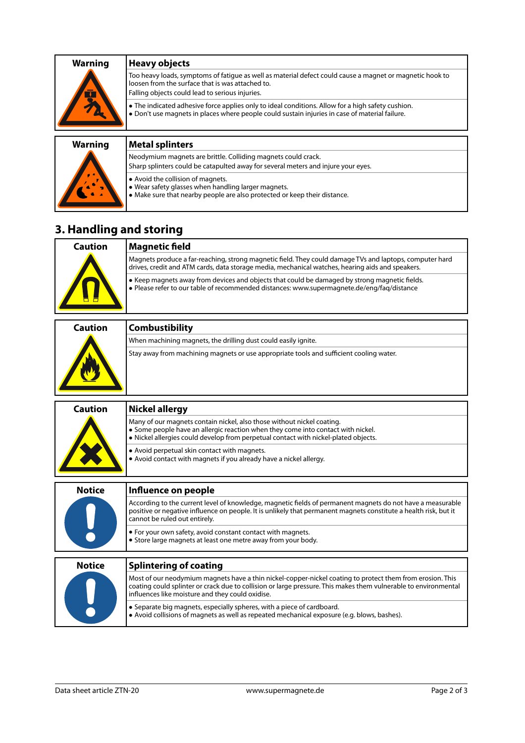| <b>Warning</b> | Heavy objects                                                                                                                                                                                                   |
|----------------|-----------------------------------------------------------------------------------------------------------------------------------------------------------------------------------------------------------------|
|                | Too heavy loads, symptoms of fatigue as well as material defect could cause a magnet or magnetic hook to<br>loosen from the surface that is was attached to.<br>Falling objects could lead to serious injuries. |
|                | • The indicated adhesive force applies only to ideal conditions. Allow for a high safety cushion.<br>. Don't use magnets in places where people could sustain injuries in case of material failure.             |

## **Warning Metal splinters**

|  | Neodymium magnets are brittle. Colliding magnets could crack.<br>Sharp splinters could be catapulted away for several meters and injure your eyes.                          |
|--|-----------------------------------------------------------------------------------------------------------------------------------------------------------------------------|
|  | $\bullet$ Avoid the collision of magnets.<br>● Wear safety glasses when handling larger magnets.<br>Make sure that nearby people are also protected or keep their distance. |

## **3. Handling and storing**

| Caution | Magnetic field                                                                                                                                                                                              |
|---------|-------------------------------------------------------------------------------------------------------------------------------------------------------------------------------------------------------------|
|         | Magnets produce a far-reaching, strong magnetic field. They could damage TVs and laptops, computer hard<br>drives, credit and ATM cards, data storage media, mechanical watches, hearing aids and speakers. |
|         | • Keep magnets away from devices and objects that could be damaged by strong magnetic fields.<br>· Please refer to our table of recommended distances: www.supermagnete.de/eng/faq/distance                 |

| <b>Caution</b> | <b>Combustibility</b>                                                                   |
|----------------|-----------------------------------------------------------------------------------------|
|                | When machining magnets, the drilling dust could easily ignite.                          |
|                | Stay away from machining magnets or use appropriate tools and sufficient cooling water. |

| <b>Caution</b> | <b>Nickel allergy</b>                                                                                                                                                                                                                                                            |
|----------------|----------------------------------------------------------------------------------------------------------------------------------------------------------------------------------------------------------------------------------------------------------------------------------|
|                | Many of our magnets contain nickel, also those without nickel coating.<br>• Some people have an allergic reaction when they come into contact with nickel.<br>• Nickel allergies could develop from perpetual contact with nickel-plated objects.                                |
|                | • Avoid perpetual skin contact with magnets.<br>• Avoid contact with magnets if you already have a nickel allergy.                                                                                                                                                               |
| <b>Notice</b>  | Influence on people                                                                                                                                                                                                                                                              |
|                | According to the current level of knowledge, magnetic fields of permanent magnets do not have a measurable<br>positive or negative influence on people. It is unlikely that permanent magnets constitute a health risk, but it<br>cannot be ruled out entirely.                  |
|                | • For your own safety, avoid constant contact with magnets.<br>• Store large magnets at least one metre away from your body.                                                                                                                                                     |
| <b>Notice</b>  | <b>Splintering of coating</b>                                                                                                                                                                                                                                                    |
|                | Most of our neodymium magnets have a thin nickel-copper-nickel coating to protect them from erosion. This<br>coating could splinter or crack due to collision or large pressure. This makes them vulnerable to environmental<br>influences like moisture and they could oxidise. |
|                | • Separate big magnets, especially spheres, with a piece of cardboard.<br>• Avoid collisions of magnets as well as repeated mechanical exposure (e.g. blows, bashes).                                                                                                            |